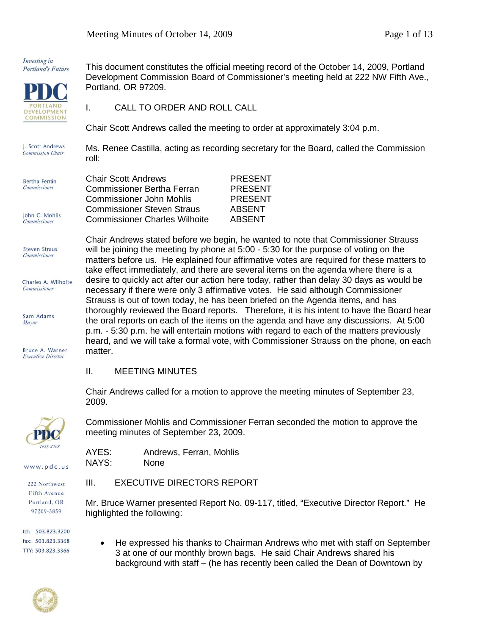Investing in **Portland's Future** 



**Steven Straus** Commissioner

Sam Adams Mayor

Bruce A. Warner **Executive Director** 

Charles A. Wilhoite **Commissioner** 

This document constitutes the official meeting record of the October 14, 2009, Portland Development Commission Board of Commissioner's meeting held at 222 NW Fifth Ave., Portland, OR 97209.

I. CALL TO ORDER AND ROLL CALL

Chair Scott Andrews called the meeting to order at approximately 3:04 p.m.

J. Scott Andrews Ms. Renee Castilla, acting as recording secretary for the Board, called the Commission **Commission Chair** roll:

| Bertha Ferrán       | <b>Chair Scott Andrews</b>                                                | <b>PRESENT</b>                 |
|---------------------|---------------------------------------------------------------------------|--------------------------------|
| <b>Commissioner</b> | <b>Commissioner Bertha Ferran</b>                                         | <b>PRESENT</b>                 |
|                     | Commissioner John Mohlis                                                  | <b>PRESENT</b>                 |
| John C. Mohlis      | <b>Commissioner Steven Straus</b><br><b>Commissioner Charles Wilhoite</b> | <b>ABSENT</b><br><b>ABSENT</b> |
| <b>Commissioner</b> |                                                                           |                                |

Chair Andrews stated before we begin, he wanted to note that Commissioner Strauss will be joining the meeting by phone at 5:00 - 5:30 for the purpose of voting on the matters before us. He explained four affirmative votes are required for these matters to take effect immediately, and there are several items on the agenda where there is a desire to quickly act after our action here today, rather than delay 30 days as would be necessary if there were only 3 affirmative votes. He said although Commissioner Strauss is out of town today, he has been briefed on the Agenda items, and has thoroughly reviewed the Board reports. Therefore, it is his intent to have the Board hear the oral reports on each of the items on the agenda and have any discussions. At 5:00 p.m. - 5:30 p.m. he will entertain motions with regard to each of the matters previously heard, and we will take a formal vote, with Commissioner Strauss on the phone, on each matter.

II. MEETING MINUTES

Chair Andrews called for a motion to approve the meeting minutes of September 23, 2009.

Commissioner Mohlis and Commissioner Ferran seconded the motion to approve the meeting minutes of September 23, 2009.

| AYES: | Andrews, Ferran, Mohlis |
|-------|-------------------------|
| NAYS: | <b>None</b>             |

### III. EXECUTIVE DIRECTORS REPORT

Mr. Bruce Warner presented Report No. 09-117, titled, "Executive Director Report." He highlighted the following:

tel: 503.823.3200 fax: 503.823.3368 TTY: 503.823.3366

www.pdc.us

222 Northwest Fifth Avenue Portland, OR 97209-3859

> • He expressed his thanks to Chairman Andrews who met with staff on September 3 at one of our monthly brown bags. He said Chair Andrews shared his background with staff – (he has recently been called the Dean of Downtown by

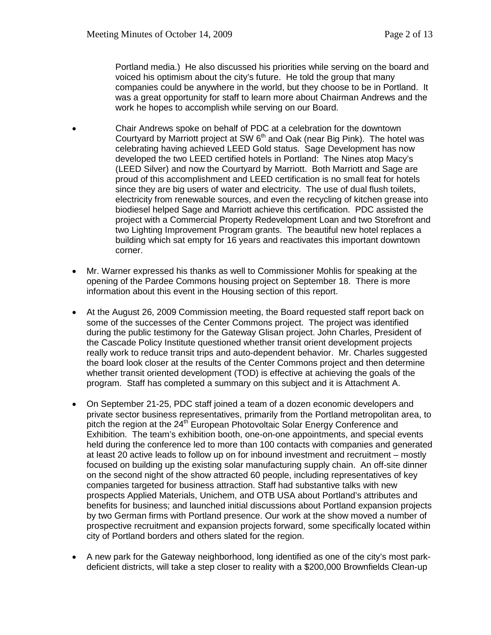Portland media.) He also discussed his priorities while serving on the board and voiced his optimism about the city's future. He told the group that many companies could be anywhere in the world, but they choose to be in Portland. It was a great opportunity for staff to learn more about Chairman Andrews and the work he hopes to accomplish while serving on our Board.

- Chair Andrews spoke on behalf of PDC at a celebration for the downtown Courtyard by Marriott project at SW  $6<sup>th</sup>$  and Oak (near Big Pink). The hotel was celebrating having achieved LEED Gold status. Sage Development has now developed the two LEED certified hotels in Portland: The Nines atop Macy's (LEED Silver) and now the Courtyard by Marriott. Both Marriott and Sage are proud of this accomplishment and LEED certification is no small feat for hotels since they are big users of water and electricity. The use of dual flush toilets, electricity from renewable sources, and even the recycling of kitchen grease into biodiesel helped Sage and Marriott achieve this certification. PDC assisted the project with a Commercial Property Redevelopment Loan and two Storefront and two Lighting Improvement Program grants. The beautiful new hotel replaces a building which sat empty for 16 years and reactivates this important downtown corner.
- Mr. Warner expressed his thanks as well to Commissioner Mohlis for speaking at the opening of the Pardee Commons housing project on September 18. There is more information about this event in the Housing section of this report.
- At the August 26, 2009 Commission meeting, the Board requested staff report back on some of the successes of the Center Commons project. The project was identified during the public testimony for the Gateway Glisan project. John Charles, President of the Cascade Policy Institute questioned whether transit orient development projects really work to reduce transit trips and auto-dependent behavior. Mr. Charles suggested the board look closer at the results of the Center Commons project and then determine whether transit oriented development (TOD) is effective at achieving the goals of the program. Staff has completed a summary on this subject and it is Attachment A.
- On September 21-25, PDC staff joined a team of a dozen economic developers and private sector business representatives, primarily from the Portland metropolitan area, to pitch the region at the  $24<sup>th</sup>$  European Photovoltaic Solar Energy Conference and Exhibition. The team's exhibition booth, one-on-one appointments, and special events held during the conference led to more than 100 contacts with companies and generated at least 20 active leads to follow up on for inbound investment and recruitment – mostly focused on building up the existing solar manufacturing supply chain. An off-site dinner on the second night of the show attracted 60 people, including representatives of key companies targeted for business attraction. Staff had substantive talks with new prospects Applied Materials, Unichem, and OTB USA about Portland's attributes and benefits for business; and launched initial discussions about Portland expansion projects by two German firms with Portland presence. Our work at the show moved a number of prospective recruitment and expansion projects forward, some specifically located within city of Portland borders and others slated for the region.
- A new park for the Gateway neighborhood, long identified as one of the city's most parkdeficient districts, will take a step closer to reality with a \$200,000 Brownfields Clean-up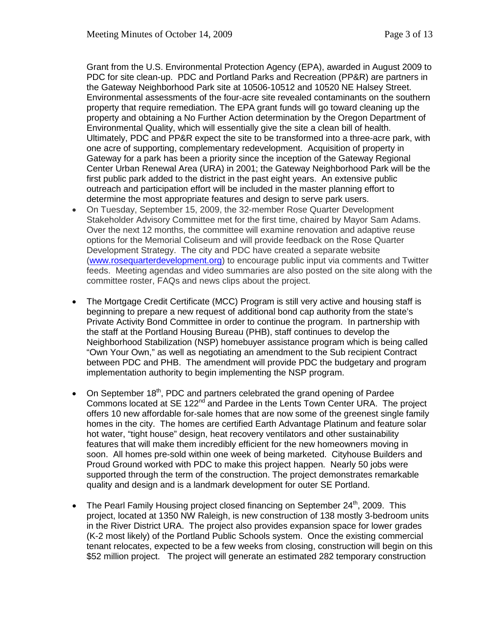Grant from the U.S. Environmental Protection Agency (EPA), awarded in August 2009 to PDC for site clean-up. PDC and Portland Parks and Recreation (PP&R) are partners in the Gateway Neighborhood Park site at 10506-10512 and 10520 NE Halsey Street. Environmental assessments of the four-acre site revealed contaminants on the southern property that require remediation. The EPA grant funds will go toward cleaning up the property and obtaining a No Further Action determination by the Oregon Department of Environmental Quality, which will essentially give the site a clean bill of health. Ultimately, PDC and PP&R expect the site to be transformed into a three-acre park, with one acre of supporting, complementary redevelopment. Acquisition of property in Gateway for a park has been a priority since the inception of the Gateway Regional Center Urban Renewal Area (URA) in 2001; the Gateway Neighborhood Park will be the first public park added to the district in the past eight years. An extensive public outreach and participation effort will be included in the master planning effort to determine the most appropriate features and design to serve park users.

- On Tuesday, September 15, 2009, the 32-member Rose Quarter Development Stakeholder Advisory Committee met for the first time, chaired by Mayor Sam Adams. Over the next 12 months, the committee will examine renovation and adaptive reuse options for the Memorial Coliseum and will provide feedback on the Rose Quarter Development Strategy. The city and PDC have created a separate website [\(www.rosequarterdevelopment.org\)](http://www.rosequarterdevelopment.org/) to encourage public input via comments and Twitter feeds. Meeting agendas and video summaries are also posted on the site along with the committee roster, FAQs and news clips about the project.
- The Mortgage Credit Certificate (MCC) Program is still very active and housing staff is beginning to prepare a new request of additional bond cap authority from the state's Private Activity Bond Committee in order to continue the program. In partnership with the staff at the Portland Housing Bureau (PHB), staff continues to develop the Neighborhood Stabilization (NSP) homebuyer assistance program which is being called "Own Your Own," as well as negotiating an amendment to the Sub recipient Contract between PDC and PHB. The amendment will provide PDC the budgetary and program implementation authority to begin implementing the NSP program.
- On September  $18<sup>th</sup>$ , PDC and partners celebrated the grand opening of Pardee Commons located at SE 122<sup>nd</sup> and Pardee in the Lents Town Center URA. The project offers 10 new affordable for-sale homes that are now some of the greenest single family homes in the city. The homes are certified Earth Advantage Platinum and feature solar hot water, "tight house" design, heat recovery ventilators and other sustainability features that will make them incredibly efficient for the new homeowners moving in soon. All homes pre-sold within one week of being marketed. Cityhouse Builders and Proud Ground worked with PDC to make this project happen. Nearly 50 jobs were supported through the term of the construction. The project demonstrates remarkable quality and design and is a landmark development for outer SE Portland.
- The Pearl Family Housing project closed financing on September 24<sup>th</sup>, 2009. This project, located at 1350 NW Raleigh, is new construction of 138 mostly 3-bedroom units in the River District URA. The project also provides expansion space for lower grades (K-2 most likely) of the Portland Public Schools system. Once the existing commercial tenant relocates, expected to be a few weeks from closing, construction will begin on this \$52 million project. The project will generate an estimated 282 temporary construction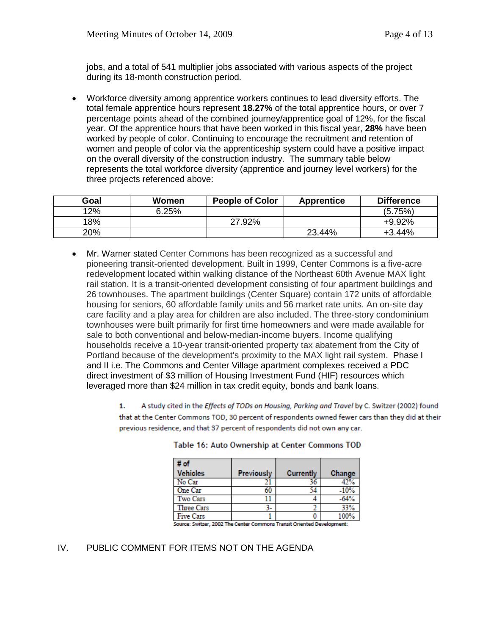jobs, and a total of 541 multiplier jobs associated with various aspects of the project during its 18-month construction period.

• Workforce diversity among apprentice workers continues to lead diversity efforts. The total female apprentice hours represent **18.27%** of the total apprentice hours, or over 7 percentage points ahead of the combined journey/apprentice goal of 12%, for the fiscal year. Of the apprentice hours that have been worked in this fiscal year, **28%** have been worked by people of color. Continuing to encourage the recruitment and retention of women and people of color via the apprenticeship system could have a positive impact on the overall diversity of the construction industry. The summary table below represents the total workforce diversity (apprentice and journey level workers) for the three projects referenced above:

| Goal | Women | <b>People of Color</b> | <b>Apprentice</b> | <b>Difference</b> |
|------|-------|------------------------|-------------------|-------------------|
| 12%  | 6.25% |                        |                   | (5.75%)           |
| 18%  |       | 27.92%                 |                   | $+9.92%$          |
| 20%  |       |                        | 23.44%            | +3.44%            |

- Mr. Warner stated Center Commons has been recognized as a successful and pioneering transit-oriented development. Built in 1999, Center Commons is a five-acre redevelopment located within walking distance of the Northeast 60th Avenue MAX light rail station. It is a transit-oriented development consisting of four apartment buildings and 26 townhouses. The apartment buildings (Center Square) contain 172 units of affordable housing for seniors, 60 affordable family units and 56 market rate units. An on-site day care facility and a play area for children are also included. The three-story condominium townhouses were built primarily for first time homeowners and were made available for sale to both conventional and below-median-income buyers. Income qualifying households receive a 10-year transit-oriented property tax abatement from the City of Portland because of the development's proximity to the MAX light rail system. Phase I and II i.e. The Commons and Center Village apartment complexes received a PDC direct investment of \$3 million of Housing Investment Fund (HIF) resources which leveraged more than \$24 million in tax credit equity, bonds and bank loans.
	- 1. A study cited in the Effects of TODs on Housing, Parking and Travel by C. Switzer (2002) found that at the Center Commons TOD, 30 percent of respondents owned fewer cars than they did at their previous residence, and that 37 percent of respondents did not own any car.

| # of              |                   |           |        |
|-------------------|-------------------|-----------|--------|
| <b>Vehicles</b>   | <b>Previously</b> | Currently | Change |
| No Car            |                   | 36        | 42%    |
| One Car           | 60                | 54        | $-10%$ |
| Two Cars          |                   |           | $-64%$ |
| <b>Three Cars</b> |                   |           | 33%    |
| <b>Five Cars</b>  |                   |           | 100%   |

Table 16: Auto Ownership at Center Commons TOD

urce: Switzer, 2002 The Center Commons Transit Oriented Developm

## IV. PUBLIC COMMENT FOR ITEMS NOT ON THE AGENDA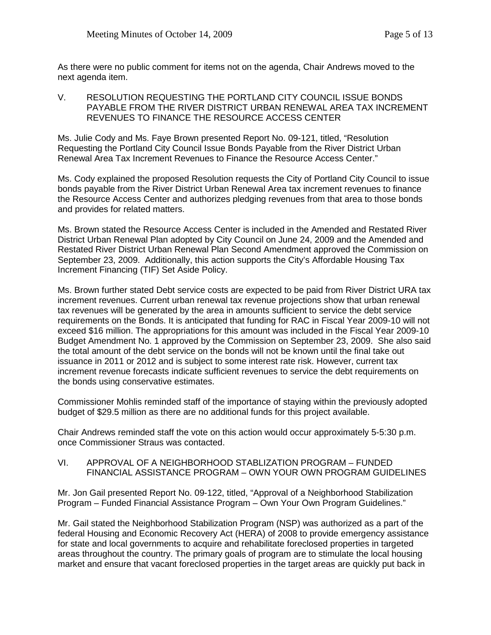As there were no public comment for items not on the agenda, Chair Andrews moved to the next agenda item.

V. RESOLUTION REQUESTING THE PORTLAND CITY COUNCIL ISSUE BONDS PAYABLE FROM THE RIVER DISTRICT URBAN RENEWAL AREA TAX INCREMENT REVENUES TO FINANCE THE RESOURCE ACCESS CENTER

Ms. Julie Cody and Ms. Faye Brown presented Report No. 09-121, titled, "Resolution Requesting the Portland City Council Issue Bonds Payable from the River District Urban Renewal Area Tax Increment Revenues to Finance the Resource Access Center."

Ms. Cody explained the proposed Resolution requests the City of Portland City Council to issue bonds payable from the River District Urban Renewal Area tax increment revenues to finance the Resource Access Center and authorizes pledging revenues from that area to those bonds and provides for related matters.

Ms. Brown stated the Resource Access Center is included in the Amended and Restated River District Urban Renewal Plan adopted by City Council on June 24, 2009 and the Amended and Restated River District Urban Renewal Plan Second Amendment approved the Commission on September 23, 2009. Additionally, this action supports the City's Affordable Housing Tax Increment Financing (TIF) Set Aside Policy.

Ms. Brown further stated Debt service costs are expected to be paid from River District URA tax increment revenues. Current urban renewal tax revenue projections show that urban renewal tax revenues will be generated by the area in amounts sufficient to service the debt service requirements on the Bonds. It is anticipated that funding for RAC in Fiscal Year 2009-10 will not exceed \$16 million. The appropriations for this amount was included in the Fiscal Year 2009-10 Budget Amendment No. 1 approved by the Commission on September 23, 2009. She also said the total amount of the debt service on the bonds will not be known until the final take out issuance in 2011 or 2012 and is subject to some interest rate risk. However, current tax increment revenue forecasts indicate sufficient revenues to service the debt requirements on the bonds using conservative estimates.

Commissioner Mohlis reminded staff of the importance of staying within the previously adopted budget of \$29.5 million as there are no additional funds for this project available.

Chair Andrews reminded staff the vote on this action would occur approximately 5-5:30 p.m. once Commissioner Straus was contacted.

VI. APPROVAL OF A NEIGHBORHOOD STABLIZATION PROGRAM – FUNDED FINANCIAL ASSISTANCE PROGRAM – OWN YOUR OWN PROGRAM GUIDELINES

Mr. Jon Gail presented Report No. 09-122, titled, "Approval of a Neighborhood Stabilization Program – Funded Financial Assistance Program – Own Your Own Program Guidelines."

Mr. Gail stated the Neighborhood Stabilization Program (NSP) was authorized as a part of the federal Housing and Economic Recovery Act (HERA) of 2008 to provide emergency assistance for state and local governments to acquire and rehabilitate foreclosed properties in targeted areas throughout the country. The primary goals of program are to stimulate the local housing market and ensure that vacant foreclosed properties in the target areas are quickly put back in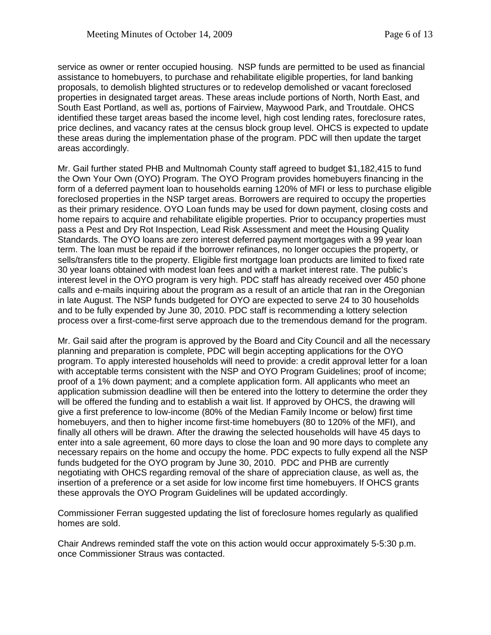service as owner or renter occupied housing. NSP funds are permitted to be used as financial assistance to homebuyers, to purchase and rehabilitate eligible properties, for land banking proposals, to demolish blighted structures or to redevelop demolished or vacant foreclosed properties in designated target areas. These areas include portions of North, North East, and South East Portland, as well as, portions of Fairview, Maywood Park, and Troutdale. OHCS identified these target areas based the income level, high cost lending rates, foreclosure rates, price declines, and vacancy rates at the census block group level. OHCS is expected to update these areas during the implementation phase of the program. PDC will then update the target areas accordingly.

Mr. Gail further stated PHB and Multnomah County staff agreed to budget \$1,182,415 to fund the Own Your Own (OYO) Program. The OYO Program provides homebuyers financing in the form of a deferred payment loan to households earning 120% of MFI or less to purchase eligible foreclosed properties in the NSP target areas. Borrowers are required to occupy the properties as their primary residence. OYO Loan funds may be used for down payment, closing costs and home repairs to acquire and rehabilitate eligible properties. Prior to occupancy properties must pass a Pest and Dry Rot Inspection, Lead Risk Assessment and meet the Housing Quality Standards. The OYO loans are zero interest deferred payment mortgages with a 99 year loan term. The loan must be repaid if the borrower refinances, no longer occupies the property, or sells/transfers title to the property. Eligible first mortgage loan products are limited to fixed rate 30 year loans obtained with modest loan fees and with a market interest rate. The public's interest level in the OYO program is very high. PDC staff has already received over 450 phone calls and e-mails inquiring about the program as a result of an article that ran in the Oregonian in late August. The NSP funds budgeted for OYO are expected to serve 24 to 30 households and to be fully expended by June 30, 2010. PDC staff is recommending a lottery selection process over a first-come-first serve approach due to the tremendous demand for the program.

Mr. Gail said after the program is approved by the Board and City Council and all the necessary planning and preparation is complete, PDC will begin accepting applications for the OYO program. To apply interested households will need to provide: a credit approval letter for a loan with acceptable terms consistent with the NSP and OYO Program Guidelines; proof of income; proof of a 1% down payment; and a complete application form. All applicants who meet an application submission deadline will then be entered into the lottery to determine the order they will be offered the funding and to establish a wait list. If approved by OHCS, the drawing will give a first preference to low-income (80% of the Median Family Income or below) first time homebuyers, and then to higher income first-time homebuyers (80 to 120% of the MFI), and finally all others will be drawn. After the drawing the selected households will have 45 days to enter into a sale agreement, 60 more days to close the loan and 90 more days to complete any necessary repairs on the home and occupy the home. PDC expects to fully expend all the NSP funds budgeted for the OYO program by June 30, 2010. PDC and PHB are currently negotiating with OHCS regarding removal of the share of appreciation clause, as well as, the insertion of a preference or a set aside for low income first time homebuyers. If OHCS grants these approvals the OYO Program Guidelines will be updated accordingly.

Commissioner Ferran suggested updating the list of foreclosure homes regularly as qualified homes are sold.

Chair Andrews reminded staff the vote on this action would occur approximately 5-5:30 p.m. once Commissioner Straus was contacted.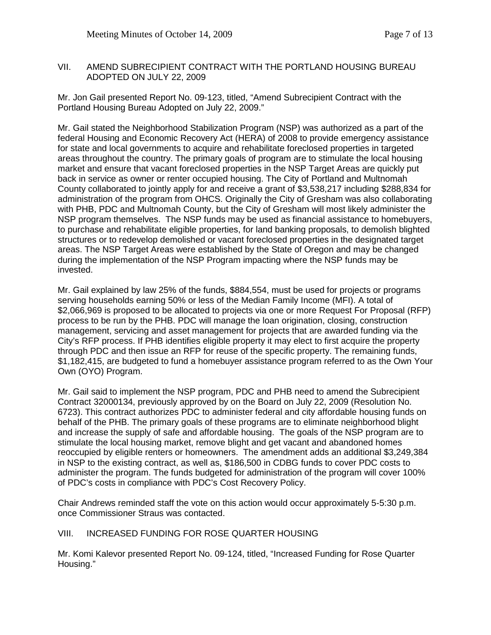#### VII. AMEND SUBRECIPIENT CONTRACT WITH THE PORTLAND HOUSING BUREAU ADOPTED ON JULY 22, 2009

Mr. Jon Gail presented Report No. 09-123, titled, "Amend Subrecipient Contract with the Portland Housing Bureau Adopted on July 22, 2009."

Mr. Gail stated the Neighborhood Stabilization Program (NSP) was authorized as a part of the federal Housing and Economic Recovery Act (HERA) of 2008 to provide emergency assistance for state and local governments to acquire and rehabilitate foreclosed properties in targeted areas throughout the country. The primary goals of program are to stimulate the local housing market and ensure that vacant foreclosed properties in the NSP Target Areas are quickly put back in service as owner or renter occupied housing. The City of Portland and Multnomah County collaborated to jointly apply for and receive a grant of \$3,538,217 including \$288,834 for administration of the program from OHCS. Originally the City of Gresham was also collaborating with PHB, PDC and Multnomah County, but the City of Gresham will most likely administer the NSP program themselves. The NSP funds may be used as financial assistance to homebuyers, to purchase and rehabilitate eligible properties, for land banking proposals, to demolish blighted structures or to redevelop demolished or vacant foreclosed properties in the designated target areas. The NSP Target Areas were established by the State of Oregon and may be changed during the implementation of the NSP Program impacting where the NSP funds may be invested.

Mr. Gail explained by law 25% of the funds, \$884,554, must be used for projects or programs serving households earning 50% or less of the Median Family Income (MFI). A total of \$2,066,969 is proposed to be allocated to projects via one or more Request For Proposal (RFP) process to be run by the PHB. PDC will manage the loan origination, closing, construction management, servicing and asset management for projects that are awarded funding via the City's RFP process. If PHB identifies eligible property it may elect to first acquire the property through PDC and then issue an RFP for reuse of the specific property. The remaining funds, \$1,182,415, are budgeted to fund a homebuyer assistance program referred to as the Own Your Own (OYO) Program.

Mr. Gail said to implement the NSP program, PDC and PHB need to amend the Subrecipient Contract 32000134, previously approved by on the Board on July 22, 2009 (Resolution No. 6723). This contract authorizes PDC to administer federal and city affordable housing funds on behalf of the PHB. The primary goals of these programs are to eliminate neighborhood blight and increase the supply of safe and affordable housing. The goals of the NSP program are to stimulate the local housing market, remove blight and get vacant and abandoned homes reoccupied by eligible renters or homeowners. The amendment adds an additional \$3,249,384 in NSP to the existing contract, as well as, \$186,500 in CDBG funds to cover PDC costs to administer the program. The funds budgeted for administration of the program will cover 100% of PDC's costs in compliance with PDC's Cost Recovery Policy.

Chair Andrews reminded staff the vote on this action would occur approximately 5-5:30 p.m. once Commissioner Straus was contacted.

# VIII. INCREASED FUNDING FOR ROSE QUARTER HOUSING

Mr. Komi Kalevor presented Report No. 09-124, titled, "Increased Funding for Rose Quarter Housing."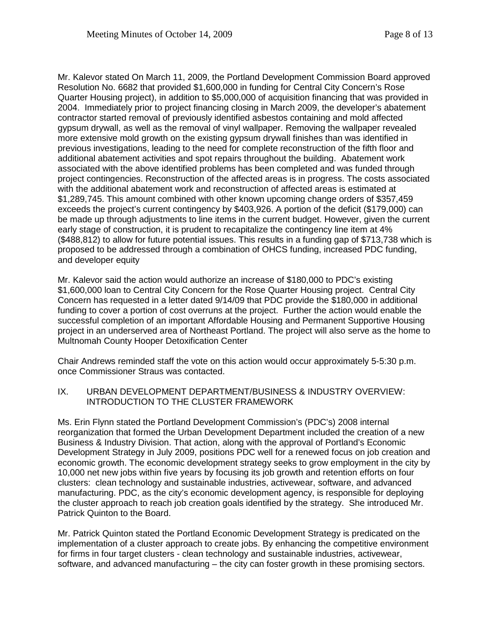Mr. Kalevor stated On March 11, 2009, the Portland Development Commission Board approved Resolution No. 6682 that provided \$1,600,000 in funding for Central City Concern's Rose Quarter Housing project), in addition to \$5,000,000 of acquisition financing that was provided in 2004. Immediately prior to project financing closing in March 2009, the developer's abatement contractor started removal of previously identified asbestos containing and mold affected gypsum drywall, as well as the removal of vinyl wallpaper. Removing the wallpaper revealed more extensive mold growth on the existing gypsum drywall finishes than was identified in previous investigations, leading to the need for complete reconstruction of the fifth floor and additional abatement activities and spot repairs throughout the building. Abatement work associated with the above identified problems has been completed and was funded through project contingencies. Reconstruction of the affected areas is in progress. The costs associated with the additional abatement work and reconstruction of affected areas is estimated at \$1,289,745. This amount combined with other known upcoming change orders of \$357,459 exceeds the project's current contingency by \$403,926. A portion of the deficit (\$179,000) can be made up through adjustments to line items in the current budget. However, given the current early stage of construction, it is prudent to recapitalize the contingency line item at 4% (\$488,812) to allow for future potential issues. This results in a funding gap of \$713,738 which is proposed to be addressed through a combination of OHCS funding, increased PDC funding, and developer equity

Mr. Kalevor said the action would authorize an increase of \$180,000 to PDC's existing \$1,600,000 loan to Central City Concern for the Rose Quarter Housing project. Central City Concern has requested in a letter dated 9/14/09 that PDC provide the \$180,000 in additional funding to cover a portion of cost overruns at the project. Further the action would enable the successful completion of an important Affordable Housing and Permanent Supportive Housing project in an underserved area of Northeast Portland. The project will also serve as the home to Multnomah County Hooper Detoxification Center

Chair Andrews reminded staff the vote on this action would occur approximately 5-5:30 p.m. once Commissioner Straus was contacted.

IX. URBAN DEVELOPMENT DEPARTMENT/BUSINESS & INDUSTRY OVERVIEW: INTRODUCTION TO THE CLUSTER FRAMEWORK

Ms. Erin Flynn stated the Portland Development Commission's (PDC's) 2008 internal reorganization that formed the Urban Development Department included the creation of a new Business & Industry Division. That action, along with the approval of Portland's Economic Development Strategy in July 2009, positions PDC well for a renewed focus on job creation and economic growth. The economic development strategy seeks to grow employment in the city by 10,000 net new jobs within five years by focusing its job growth and retention efforts on four clusters: clean technology and sustainable industries, activewear, software, and advanced manufacturing. PDC, as the city's economic development agency, is responsible for deploying the cluster approach to reach job creation goals identified by the strategy. She introduced Mr. Patrick Quinton to the Board.

Mr. Patrick Quinton stated the Portland Economic Development Strategy is predicated on the implementation of a cluster approach to create jobs. By enhancing the competitive environment for firms in four target clusters - clean technology and sustainable industries, activewear, software, and advanced manufacturing – the city can foster growth in these promising sectors.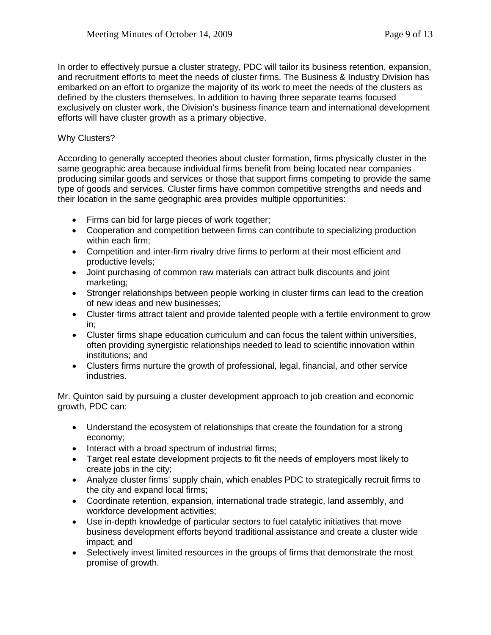In order to effectively pursue a cluster strategy, PDC will tailor its business retention, expansion, and recruitment efforts to meet the needs of cluster firms. The Business & Industry Division has embarked on an effort to organize the majority of its work to meet the needs of the clusters as defined by the clusters themselves. In addition to having three separate teams focused exclusively on cluster work, the Division's business finance team and international development efforts will have cluster growth as a primary objective.

## Why Clusters?

According to generally accepted theories about cluster formation, firms physically cluster in the same geographic area because individual firms benefit from being located near companies producing similar goods and services or those that support firms competing to provide the same type of goods and services. Cluster firms have common competitive strengths and needs and their location in the same geographic area provides multiple opportunities:

- Firms can bid for large pieces of work together;
- Cooperation and competition between firms can contribute to specializing production within each firm;
- Competition and inter-firm rivalry drive firms to perform at their most efficient and productive levels;
- Joint purchasing of common raw materials can attract bulk discounts and joint marketing;
- Stronger relationships between people working in cluster firms can lead to the creation of new ideas and new businesses;
- Cluster firms attract talent and provide talented people with a fertile environment to grow in;
- Cluster firms shape education curriculum and can focus the talent within universities, often providing synergistic relationships needed to lead to scientific innovation within institutions; and
- Clusters firms nurture the growth of professional, legal, financial, and other service industries.

Mr. Quinton said by pursuing a cluster development approach to job creation and economic growth, PDC can:

- Understand the ecosystem of relationships that create the foundation for a strong economy;
- Interact with a broad spectrum of industrial firms;
- Target real estate development projects to fit the needs of employers most likely to create jobs in the city;
- Analyze cluster firms' supply chain, which enables PDC to strategically recruit firms to the city and expand local firms;
- Coordinate retention, expansion, international trade strategic, land assembly, and workforce development activities;
- Use in-depth knowledge of particular sectors to fuel catalytic initiatives that move business development efforts beyond traditional assistance and create a cluster wide impact; and
- Selectively invest limited resources in the groups of firms that demonstrate the most promise of growth.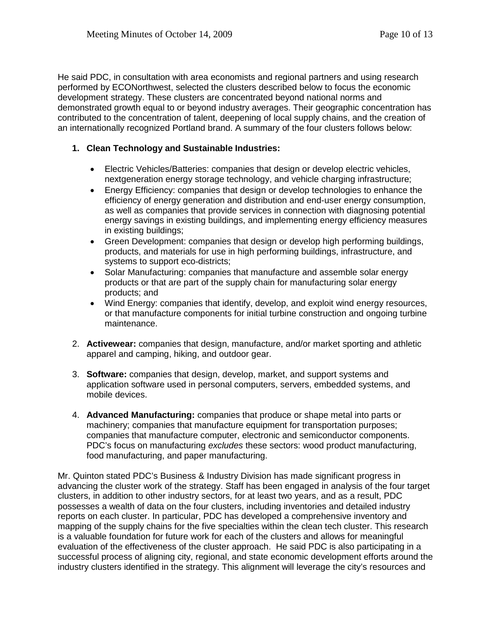He said PDC, in consultation with area economists and regional partners and using research performed by ECONorthwest, selected the clusters described below to focus the economic development strategy. These clusters are concentrated beyond national norms and demonstrated growth equal to or beyond industry averages. Their geographic concentration has contributed to the concentration of talent, deepening of local supply chains, and the creation of an internationally recognized Portland brand. A summary of the four clusters follows below:

## **1. Clean Technology and Sustainable Industries:**

- Electric Vehicles/Batteries: companies that design or develop electric vehicles, nextgeneration energy storage technology, and vehicle charging infrastructure;
- Energy Efficiency: companies that design or develop technologies to enhance the efficiency of energy generation and distribution and end-user energy consumption, as well as companies that provide services in connection with diagnosing potential energy savings in existing buildings, and implementing energy efficiency measures in existing buildings;
- Green Development: companies that design or develop high performing buildings, products, and materials for use in high performing buildings, infrastructure, and systems to support eco-districts;
- Solar Manufacturing: companies that manufacture and assemble solar energy products or that are part of the supply chain for manufacturing solar energy products; and
- Wind Energy: companies that identify, develop, and exploit wind energy resources, or that manufacture components for initial turbine construction and ongoing turbine maintenance.
- 2. **Activewear:** companies that design, manufacture, and/or market sporting and athletic apparel and camping, hiking, and outdoor gear.
- 3. **Software:** companies that design, develop, market, and support systems and application software used in personal computers, servers, embedded systems, and mobile devices.
- 4. **Advanced Manufacturing:** companies that produce or shape metal into parts or machinery; companies that manufacture equipment for transportation purposes; companies that manufacture computer, electronic and semiconductor components. PDC's focus on manufacturing *excludes* these sectors: wood product manufacturing, food manufacturing, and paper manufacturing.

Mr. Quinton stated PDC's Business & Industry Division has made significant progress in advancing the cluster work of the strategy. Staff has been engaged in analysis of the four target clusters, in addition to other industry sectors, for at least two years, and as a result, PDC possesses a wealth of data on the four clusters, including inventories and detailed industry reports on each cluster. In particular, PDC has developed a comprehensive inventory and mapping of the supply chains for the five specialties within the clean tech cluster. This research is a valuable foundation for future work for each of the clusters and allows for meaningful evaluation of the effectiveness of the cluster approach. He said PDC is also participating in a successful process of aligning city, regional, and state economic development efforts around the industry clusters identified in the strategy. This alignment will leverage the city's resources and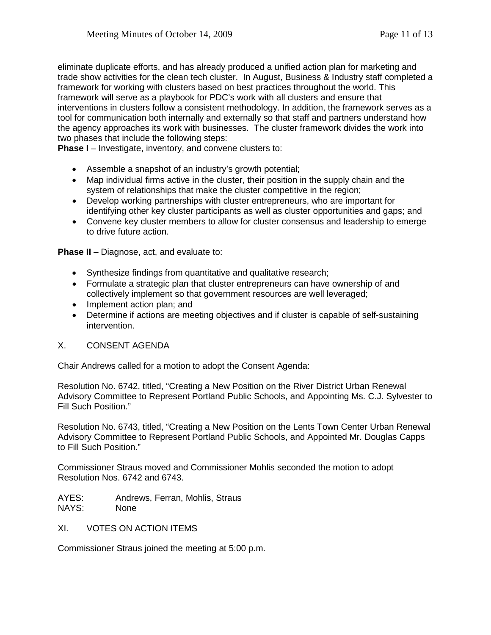eliminate duplicate efforts, and has already produced a unified action plan for marketing and trade show activities for the clean tech cluster. In August, Business & Industry staff completed a framework for working with clusters based on best practices throughout the world. This framework will serve as a playbook for PDC's work with all clusters and ensure that interventions in clusters follow a consistent methodology. In addition, the framework serves as a tool for communication both internally and externally so that staff and partners understand how the agency approaches its work with businesses. The cluster framework divides the work into two phases that include the following steps:

**Phase I** – Investigate, inventory, and convene clusters to:

- Assemble a snapshot of an industry's growth potential;
- Map individual firms active in the cluster, their position in the supply chain and the system of relationships that make the cluster competitive in the region;
- Develop working partnerships with cluster entrepreneurs, who are important for identifying other key cluster participants as well as cluster opportunities and gaps; and
- Convene key cluster members to allow for cluster consensus and leadership to emerge to drive future action.

**Phase II** – Diagnose, act, and evaluate to:

- Synthesize findings from quantitative and qualitative research;
- Formulate a strategic plan that cluster entrepreneurs can have ownership of and collectively implement so that government resources are well leveraged;
- Implement action plan; and
- Determine if actions are meeting objectives and if cluster is capable of self-sustaining intervention.

### X. CONSENT AGENDA

Chair Andrews called for a motion to adopt the Consent Agenda:

Resolution No. 6742, titled, "Creating a New Position on the River District Urban Renewal Advisory Committee to Represent Portland Public Schools, and Appointing Ms. C.J. Sylvester to Fill Such Position."

Resolution No. 6743, titled, "Creating a New Position on the Lents Town Center Urban Renewal Advisory Committee to Represent Portland Public Schools, and Appointed Mr. Douglas Capps to Fill Such Position."

Commissioner Straus moved and Commissioner Mohlis seconded the motion to adopt Resolution Nos. 6742 and 6743.

AYES: Andrews, Ferran, Mohlis, Straus NAYS: None

XI. VOTES ON ACTION ITEMS

Commissioner Straus joined the meeting at 5:00 p.m.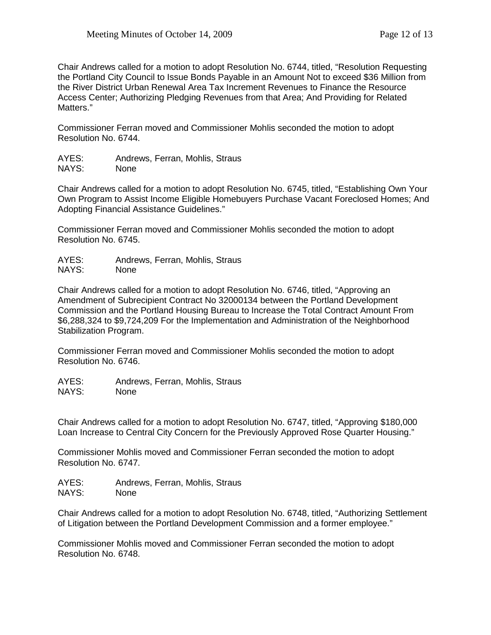Chair Andrews called for a motion to adopt Resolution No. 6744, titled, "Resolution Requesting the Portland City Council to Issue Bonds Payable in an Amount Not to exceed \$36 Million from the River District Urban Renewal Area Tax Increment Revenues to Finance the Resource Access Center; Authorizing Pledging Revenues from that Area; And Providing for Related Matters."

Commissioner Ferran moved and Commissioner Mohlis seconded the motion to adopt Resolution No. 6744.

| AYES: | Andrews, Ferran, Mohlis, Straus |
|-------|---------------------------------|
| NAYS: | <b>None</b>                     |

Chair Andrews called for a motion to adopt Resolution No. 6745, titled, "Establishing Own Your Own Program to Assist Income Eligible Homebuyers Purchase Vacant Foreclosed Homes; And Adopting Financial Assistance Guidelines."

Commissioner Ferran moved and Commissioner Mohlis seconded the motion to adopt Resolution No. 6745.

AYES: Andrews, Ferran, Mohlis, Straus NAYS: None

Chair Andrews called for a motion to adopt Resolution No. 6746, titled, "Approving an Amendment of Subrecipient Contract No 32000134 between the Portland Development Commission and the Portland Housing Bureau to Increase the Total Contract Amount From \$6,288,324 to \$9,724,209 For the Implementation and Administration of the Neighborhood Stabilization Program.

Commissioner Ferran moved and Commissioner Mohlis seconded the motion to adopt Resolution No. 6746.

AYES: Andrews, Ferran, Mohlis, Straus NAYS: None

Chair Andrews called for a motion to adopt Resolution No. 6747, titled, "Approving \$180,000 Loan Increase to Central City Concern for the Previously Approved Rose Quarter Housing."

Commissioner Mohlis moved and Commissioner Ferran seconded the motion to adopt Resolution No. 6747.

AYES: Andrews, Ferran, Mohlis, Straus NAYS: None

Chair Andrews called for a motion to adopt Resolution No. 6748, titled, "Authorizing Settlement of Litigation between the Portland Development Commission and a former employee."

Commissioner Mohlis moved and Commissioner Ferran seconded the motion to adopt Resolution No. 6748.